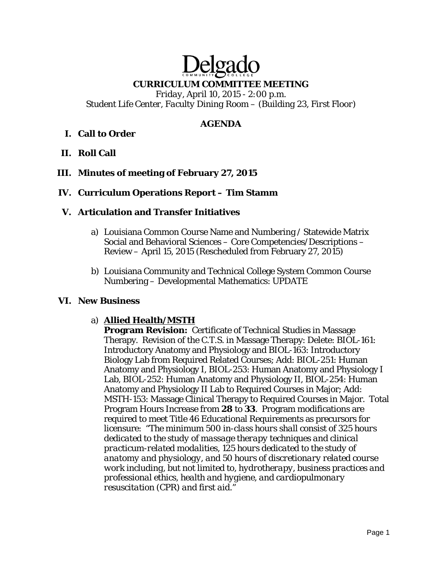# Delga **CURRICULUM COMMITTEE MEETING**

*Friday, April 10, 2015 - 2:00 p.m. Student Life Center, Faculty Dining Room – (Building 23, First Floor)* 

## **AGENDA**

# **I. Call to Order**

**II. Roll Call** 

## **III. Minutes of meeting of February 27, 2015**

## **IV. Curriculum Operations Report – Tim Stamm**

## **V. Articulation and Transfer Initiatives**

- a) Louisiana Common Course Name and Numbering / Statewide Matrix Social and Behavioral Sciences – Core Competencies/Descriptions – Review – April 15, 2015 (Rescheduled from February 27, 2015)
- b) Louisiana Community and Technical College System Common Course Numbering – Developmental Mathematics: UPDATE

## **VI. New Business**

## a) **Allied Health/MSTH**

**Program Revision:** Certificate of Technical Studies in Massage Therapy. Revision of the C.T.S. in Massage Therapy: Delete: BIOL-161: Introductory Anatomy and Physiology and BIOL-163: Introductory Biology Lab from Required Related Courses; Add: BIOL-251: Human Anatomy and Physiology I, BIOL-253: Human Anatomy and Physiology I Lab, BIOL-252: Human Anatomy and Physiology II, BIOL-254: Human Anatomy and Physiology II Lab to Required Courses in Major; Add: MSTH-153: Massage Clinical Therapy to Required Courses in Major. Total Program Hours Increase *from* **28** *to* **33**. Program modifications are required to meet Title 46 Educational Requirements as precursors for licensure: "*The minimum 500 in-class hours shall consist of 325 hours dedicated to the study of massage therapy techniques and clinical practicum-related modalities, 125 hours dedicated to the study of anatomy and physiology, and 50 hours of discretionary related course work including, but not limited to, hydrotherapy, business practices and professional ethics, health and hygiene, and cardiopulmonary resuscitation (CPR) and first aid."*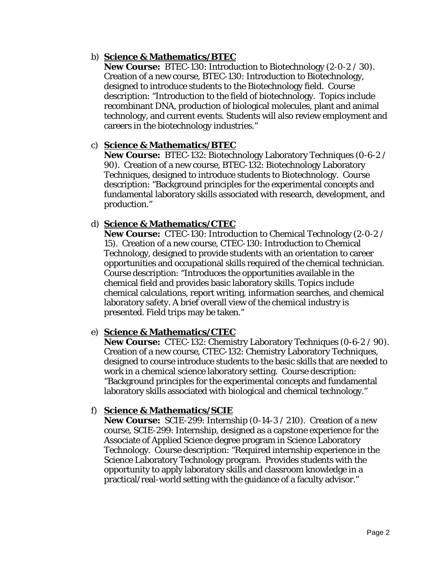## b) **Science & Mathematics/BTEC**

**New Course:** BTEC-130: Introduction to Biotechnology (2-0-2 / 30). Creation of a new course, BTEC-130: Introduction to Biotechnology, designed to introduce students to the Biotechnology field. Course description: "Introduction to the field of biotechnology. Topics include recombinant DNA, production of biological molecules, plant and animal technology, and current events. Students will also review employment and careers in the biotechnology industries."

## c) **Science & Mathematics/BTEC**

**New Course:** BTEC-132: Biotechnology Laboratory Techniques (0-6-2 / 90). Creation of a new course, BTEC-132: Biotechnology Laboratory Techniques, designed to introduce students to Biotechnology. Course description: "Background principles for the experimental concepts and fundamental laboratory skills associated with research, development, and production."

## d) **Science & Mathematics/CTEC**

**New Course:** CTEC-130: Introduction to Chemical Technology (2-0-2 / 15). Creation of a new course, CTEC-130: Introduction to Chemical Technology, designed to provide students with an orientation to career opportunities and occupational skills required of the chemical technician. Course description: "Introduces the opportunities available in the chemical field and provides basic laboratory skills. Topics include chemical calculations, report writing, information searches, and chemical laboratory safety. A brief overall view of the chemical industry is presented. Field trips may be taken."

# e) **Science & Mathematics/CTEC**

**New Course:** CTEC-132: Chemistry Laboratory Techniques (0-6-2 / 90). Creation of a new course, CTEC-132: Chemistry Laboratory Techniques, designed to course introduce students to the basic skills that are needed to work in a chemical science laboratory setting. Course description: "Background principles for the experimental concepts and fundamental laboratory skills associated with biological and chemical technology."

# f) **Science & Mathematics/SCIE**

**New Course:** SCIE-299: Internship (0-14-3 / 210). Creation of a new course, SCIE-299: Internship, designed as a capstone experience for the Associate of Applied Science degree program in Science Laboratory Technology. Course description: "Required internship experience in the Science Laboratory Technology program. Provides students with the opportunity to apply laboratory skills and classroom knowledge in a practical/real-world setting with the guidance of a faculty advisor."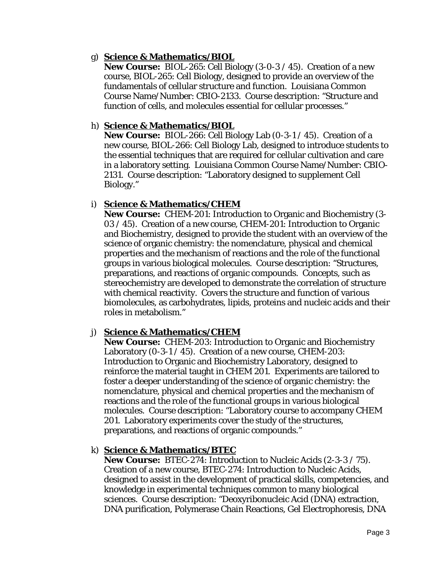## g) **Science & Mathematics/BIOL**

**New Course:** BIOL-265: Cell Biology (3-0-3 / 45). Creation of a new course, BIOL-265: Cell Biology, designed to provide an overview of the fundamentals of cellular structure and function. Louisiana Common Course Name/Number: CBIO-2133. Course description: "Structure and function of cells, and molecules essential for cellular processes."

## h) **Science & Mathematics/BIOL**

**New Course:** BIOL-266: Cell Biology Lab (0-3-1 / 45). Creation of a new course, BIOL-266: Cell Biology Lab, designed to introduce students to the essential techniques that are required for cellular cultivation and care in a laboratory setting. Louisiana Common Course Name/Number: CBIO-2131. Course description: "Laboratory designed to supplement Cell Biology."

## i) **Science & Mathematics/CHEM**

**New Course:** CHEM-201: Introduction to Organic and Biochemistry (3- 03 / 45). Creation of a new course, CHEM-201: Introduction to Organic and Biochemistry, designed to provide the student with an overview of the science of organic chemistry: the nomenclature, physical and chemical properties and the mechanism of reactions and the role of the functional groups in various biological molecules. Course description: "Structures, preparations, and reactions of organic compounds. Concepts, such as stereochemistry are developed to demonstrate the correlation of structure with chemical reactivity. Covers the structure and function of various biomolecules, as carbohydrates, lipids, proteins and nucleic acids and their roles in metabolism."

# j) **Science & Mathematics/CHEM**

**New Course:** CHEM-203: Introduction to Organic and Biochemistry Laboratory (0-3-1 / 45). Creation of a new course, CHEM-203: Introduction to Organic and Biochemistry Laboratory, designed to reinforce the material taught in CHEM 201. Experiments are tailored to foster a deeper understanding of the science of organic chemistry: the nomenclature, physical and chemical properties and the mechanism of reactions and the role of the functional groups in various biological molecules. Course description: "Laboratory course to accompany CHEM 201. Laboratory experiments cover the study of the structures, preparations, and reactions of organic compounds."

# k) **Science & Mathematics/BTEC**

**New Course:** BTEC-274: Introduction to Nucleic Acids (2-3-3 / 75). Creation of a new course, BTEC-274: Introduction to Nucleic Acids, designed to assist in the development of practical skills, competencies, and knowledge in experimental techniques common to many biological sciences. Course description: "Deoxyribonucleic Acid (DNA) extraction, DNA purification, Polymerase Chain Reactions, Gel Electrophoresis, DNA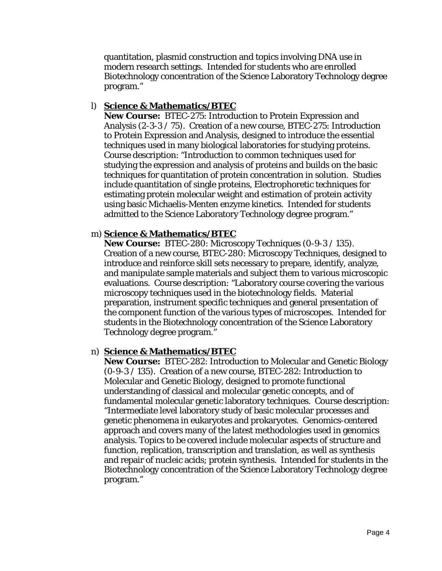quantitation, plasmid construction and topics involving DNA use in modern research settings. Intended for students who are enrolled Biotechnology concentration of the Science Laboratory Technology degree program."

#### l) **Science & Mathematics/BTEC**

**New Course:** BTEC-275: Introduction to Protein Expression and Analysis (2-3-3 / 75). Creation of a new course, BTEC-275: Introduction to Protein Expression and Analysis, designed to introduce the essential techniques used in many biological laboratories for studying proteins. Course description: "Introduction to common techniques used for studying the expression and analysis of proteins and builds on the basic techniques for quantitation of protein concentration in solution. Studies include quantitation of single proteins, Electrophoretic techniques for estimating protein molecular weight and estimation of protein activity using basic Michaelis-Menten enzyme kinetics. Intended for students admitted to the Science Laboratory Technology degree program."

#### m) **Science & Mathematics/BTEC**

**New Course:** BTEC-280: Microscopy Techniques (0-9-3 / 135). Creation of a new course, BTEC-280: Microscopy Techniques, designed to introduce and reinforce skill sets necessary to prepare, identify, analyze, and manipulate sample materials and subject them to various microscopic evaluations. Course description: "Laboratory course covering the various microscopy techniques used in the biotechnology fields. Material preparation, instrument specific techniques and general presentation of the component function of the various types of microscopes. Intended for students in the Biotechnology concentration of the Science Laboratory Technology degree program."

#### n) **Science & Mathematics/BTEC**

**New Course:** BTEC-282: Introduction to Molecular and Genetic Biology (0-9-3 / 135). Creation of a new course, BTEC-282: Introduction to Molecular and Genetic Biology, designed to promote functional understanding of classical and molecular genetic concepts, and of fundamental molecular genetic laboratory techniques. Course description: "Intermediate level laboratory study of basic molecular processes and genetic phenomena in eukaryotes and prokaryotes. Genomics-centered approach and covers many of the latest methodologies used in genomics analysis. Topics to be covered include molecular aspects of structure and function, replication, transcription and translation, as well as synthesis and repair of nucleic acids; protein synthesis. Intended for students in the Biotechnology concentration of the Science Laboratory Technology degree program."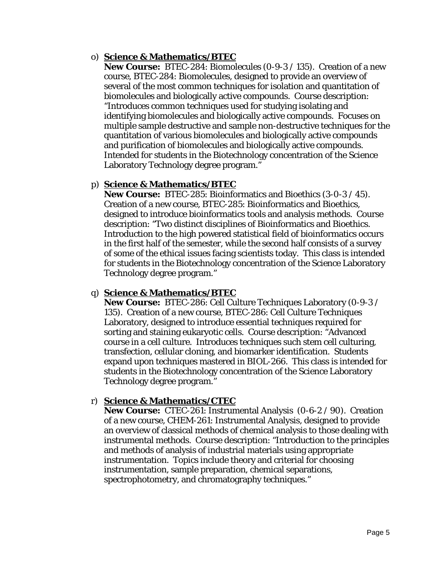## o) **Science & Mathematics/BTEC**

**New Course:** BTEC-284: Biomolecules (0-9-3 / 135). Creation of a new course, BTEC-284: Biomolecules, designed to provide an overview of several of the most common techniques for isolation and quantitation of biomolecules and biologically active compounds. Course description: "Introduces common techniques used for studying isolating and identifying biomolecules and biologically active compounds. Focuses on multiple sample destructive and sample non-destructive techniques for the quantitation of various biomolecules and biologically active compounds and purification of biomolecules and biologically active compounds. Intended for students in the Biotechnology concentration of the Science Laboratory Technology degree program."

## p) **Science & Mathematics/BTEC**

**New Course:** BTEC-285: Bioinformatics and Bioethics (3-0-3 / 45). Creation of a new course, BTEC-285: Bioinformatics and Bioethics, designed to introduce bioinformatics tools and analysis methods. Course description: "Two distinct disciplines of Bioinformatics and Bioethics. Introduction to the high powered statistical field of bioinformatics occurs in the first half of the semester, while the second half consists of a survey of some of the ethical issues facing scientists today. This class is intended for students in the Biotechnology concentration of the Science Laboratory Technology degree program."

## q) **Science & Mathematics/BTEC**

**New Course:** BTEC-286: Cell Culture Techniques Laboratory (0-9-3 / 135). Creation of a new course, BTEC-286: Cell Culture Techniques Laboratory, designed to introduce essential techniques required for sorting and staining eukaryotic cells. Course description: "Advanced course in a cell culture. Introduces techniques such stem cell culturing, transfection, cellular cloning, and biomarker identification. Students expand upon techniques mastered in BIOL-266. This class is intended for students in the Biotechnology concentration of the Science Laboratory Technology degree program."

## r) **Science & Mathematics/CTEC**

**New Course:** CTEC-261: Instrumental Analysis (0-6-2 / 90). Creation of a new course, CHEM-261: Instrumental Analysis, designed to provide an overview of classical methods of chemical analysis to those dealing with instrumental methods. Course description: "Introduction to the principles and methods of analysis of industrial materials using appropriate instrumentation. Topics include theory and criterial for choosing instrumentation, sample preparation, chemical separations, spectrophotometry, and chromatography techniques."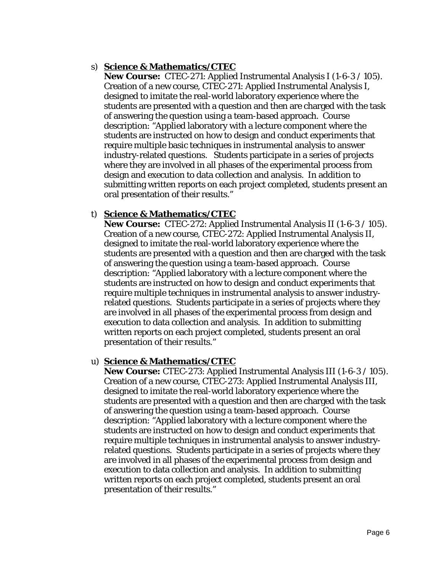## s) **Science & Mathematics/CTEC**

**New Course:** CTEC-271: Applied Instrumental Analysis I (1-6-3 / 105). Creation of a new course, CTEC-271: Applied Instrumental Analysis I, designed to imitate the real-world laboratory experience where the students are presented with a question and then are charged with the task of answering the question using a team-based approach. Course description: "Applied laboratory with a lecture component where the students are instructed on how to design and conduct experiments that require multiple basic techniques in instrumental analysis to answer industry-related questions. Students participate in a series of projects where they are involved in all phases of the experimental process from design and execution to data collection and analysis. In addition to submitting written reports on each project completed, students present an oral presentation of their results."

## t) **Science & Mathematics/CTEC**

**New Course:** CTEC-272: Applied Instrumental Analysis II (1-6-3 / 105). Creation of a new course, CTEC-272: Applied Instrumental Analysis II, designed to imitate the real-world laboratory experience where the students are presented with a question and then are charged with the task of answering the question using a team-based approach. Course description: "Applied laboratory with a lecture component where the students are instructed on how to design and conduct experiments that require multiple techniques in instrumental analysis to answer industryrelated questions. Students participate in a series of projects where they are involved in all phases of the experimental process from design and execution to data collection and analysis. In addition to submitting written reports on each project completed, students present an oral presentation of their results."

## u) **Science & Mathematics/CTEC**

**New Course:** CTEC-273: Applied Instrumental Analysis III (1-6-3 / 105). Creation of a new course, CTEC-273: Applied Instrumental Analysis III, designed to imitate the real-world laboratory experience where the students are presented with a question and then are charged with the task of answering the question using a team-based approach. Course description: "Applied laboratory with a lecture component where the students are instructed on how to design and conduct experiments that require multiple techniques in instrumental analysis to answer industryrelated questions. Students participate in a series of projects where they are involved in all phases of the experimental process from design and execution to data collection and analysis. In addition to submitting written reports on each project completed, students present an oral presentation of their results."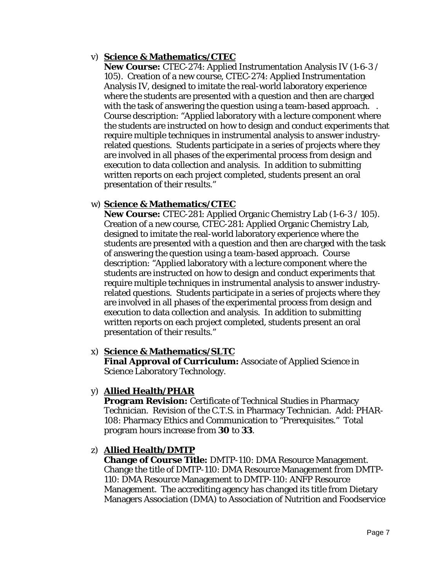## v) **Science & Mathematics/CTEC**

**New Course:** CTEC-274: Applied Instrumentation Analysis IV (1-6-3 / 105). Creation of a new course, CTEC-274: Applied Instrumentation Analysis IV, designed to imitate the real-world laboratory experience where the students are presented with a question and then are charged with the task of answering the question using a team-based approach... Course description: "Applied laboratory with a lecture component where the students are instructed on how to design and conduct experiments that require multiple techniques in instrumental analysis to answer industryrelated questions. Students participate in a series of projects where they are involved in all phases of the experimental process from design and execution to data collection and analysis. In addition to submitting written reports on each project completed, students present an oral presentation of their results."

## w) **Science & Mathematics/CTEC**

**New Course:** CTEC-281: Applied Organic Chemistry Lab (1-6-3 / 105). Creation of a new course, CTEC-281: Applied Organic Chemistry Lab, designed to imitate the real-world laboratory experience where the students are presented with a question and then are charged with the task of answering the question using a team-based approach. Course description: "Applied laboratory with a lecture component where the students are instructed on how to design and conduct experiments that require multiple techniques in instrumental analysis to answer industryrelated questions. Students participate in a series of projects where they are involved in all phases of the experimental process from design and execution to data collection and analysis. In addition to submitting written reports on each project completed, students present an oral presentation of their results."

## x) **Science & Mathematics/SLTC**

**Final Approval of Curriculum:** Associate of Applied Science in Science Laboratory Technology.

# y) **Allied Health/PHAR**

**Program Revision:** Certificate of Technical Studies in Pharmacy Technician. Revision of the C.T.S. in Pharmacy Technician. Add: PHAR-108: Pharmacy Ethics and Communication to "Prerequisites." Total program hours increase *from* **30** *to* **33**.

## z) **Allied Health/DMTP**

**Change of Course Title:** DMTP-110: DMA Resource Management. Change the title of DMTP-110: DMA Resource Management *from* DMTP-110: DMA Resource Management *to* DMTP-110: ANFP Resource Management. The accrediting agency has changed its title from Dietary Managers Association (DMA) to Association of Nutrition and Foodservice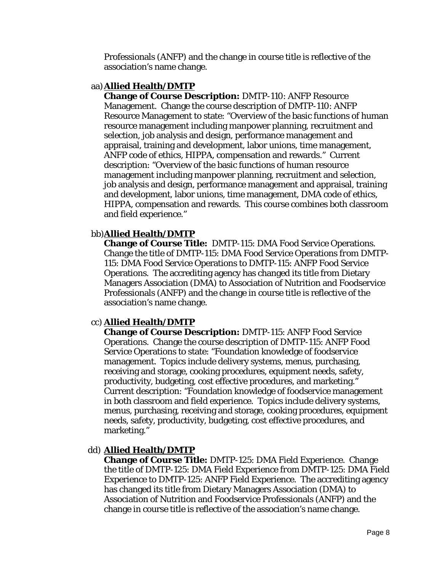Professionals (ANFP) and the change in course title is reflective of the association's name change.

## aa)**Allied Health/DMTP**

**Change of Course Description:** DMTP-110: ANFP Resource Management. Change the course description of DMTP-110: ANFP Resource Management to state: "Overview of the basic functions of human resource management including manpower planning, recruitment and selection, job analysis and design, performance management and appraisal, training and development, labor unions, time management, ANFP code of ethics, HIPPA, compensation and rewards." Current description: "Overview of the basic functions of human resource management including manpower planning, recruitment and selection, job analysis and design, performance management and appraisal, training and development, labor unions, time management, DMA code of ethics, HIPPA, compensation and rewards. This course combines both classroom and field experience."

## bb)**Allied Health/DMTP**

**Change of Course Title:** DMTP-115: DMA Food Service Operations. Change the title of DMTP-115: DMA Food Service Operations *from* DMTP-115: DMA Food Service Operations *to* DMTP-115: ANFP Food Service Operations. The accrediting agency has changed its title from Dietary Managers Association (DMA) to Association of Nutrition and Foodservice Professionals (ANFP) and the change in course title is reflective of the association's name change.

# cc) **Allied Health/DMTP**

**Change of Course Description:** DMTP-115: ANFP Food Service Operations. Change the course description of DMTP-115: ANFP Food Service Operations to state: "Foundation knowledge of foodservice management. Topics include delivery systems, menus, purchasing, receiving and storage, cooking procedures, equipment needs, safety, productivity, budgeting, cost effective procedures, and marketing." Current description: "Foundation knowledge of foodservice management in both classroom and field experience. Topics include delivery systems, menus, purchasing, receiving and storage, cooking procedures, equipment needs, safety, productivity, budgeting, cost effective procedures, and marketing."

# dd) **Allied Health/DMTP**

**Change of Course Title:** DMTP-125: DMA Field Experience. Change the title of DMTP-125: DMA Field Experience *from* DMTP-125: DMA Field Experience *to* DMTP-125: ANFP Field Experience. The accrediting agency has changed its title from Dietary Managers Association (DMA) to Association of Nutrition and Foodservice Professionals (ANFP) and the change in course title is reflective of the association's name change.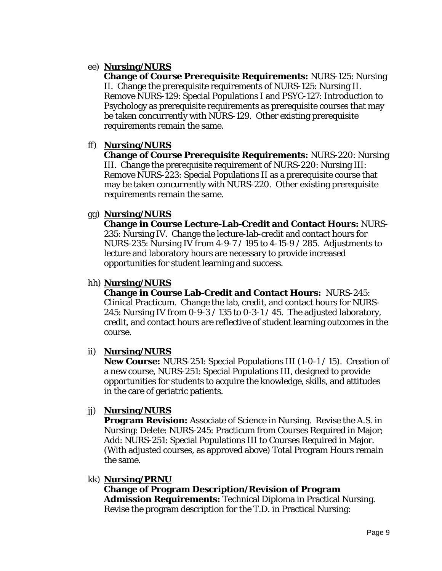## ee) **Nursing/NURS**

**Change of Course Prerequisite Requirements:** NURS-125: Nursing II. Change the prerequisite requirements of NURS-125: Nursing II. Remove NURS-129: Special Populations I and PSYC-127: Introduction to Psychology as prerequisite requirements as prerequisite courses that may be taken concurrently with NURS-129. Other existing prerequisite requirements remain the same.

## ff) **Nursing/NURS**

**Change of Course Prerequisite Requirements:** NURS-220: Nursing III. Change the prerequisite requirement of NURS-220: Nursing III: Remove NURS-223: Special Populations II as a prerequisite course that may be taken concurrently with NURS-220. Other existing prerequisite requirements remain the same.

# gg) **Nursing/NURS**

**Change in Course Lecture-Lab-Credit and Contact Hours:** NURS-235: Nursing IV. Change the lecture-lab-credit and contact hours for NURS-235: Nursing IV *from* 4-9-7 / 195 *to* 4-15-9 / 285. Adjustments to lecture and laboratory hours are necessary to provide increased opportunities for student learning and success.

## hh) **Nursing/NURS**

**Change in Course Lab-Credit and Contact Hours:** NURS-245: Clinical Practicum. Change the lab, credit, and contact hours for NURS-245: Nursing IV *from* 0-9-3 / 135 *to* 0-3-1 / 45. The adjusted laboratory, credit, and contact hours are reflective of student learning outcomes in the course.

# ii) **Nursing/NURS**

**New Course:** NURS-251: Special Populations III (1-0-1 / 15). Creation of a new course, NURS-251: Special Populations III, designed to provide opportunities for students to acquire the knowledge, skills, and attitudes in the care of geriatric patients.

# jj) **Nursing/NURS**

**Program Revision:** Associate of Science in Nursing. Revise the A.S. in Nursing: Delete: NURS-245: Practicum from Courses Required in Major; Add: NURS-251: Special Populations III to Courses Required in Major. (With adjusted courses, as approved above) Total Program Hours remain the same.

## kk) **Nursing/PRNU**

**Change of Program Description/Revision of Program Admission Requirements:** Technical Diploma in Practical Nursing. Revise the program description for the T.D. in Practical Nursing: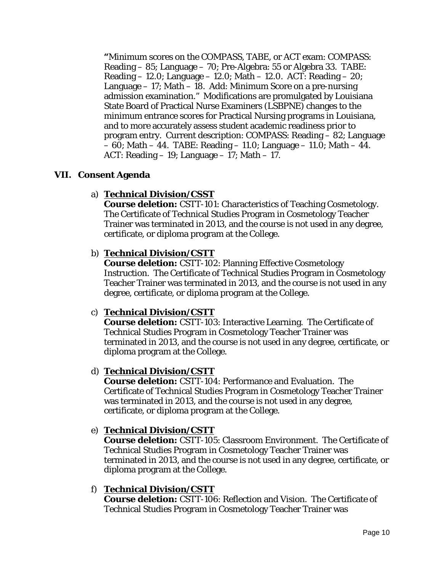**"**Minimum scores on the COMPASS, TABE, or ACT exam: COMPASS: Reading – 85; Language – 70; Pre-Algebra: 55 or Algebra 33. TABE: Reading – 12.0; Language – 12.0; Math – 12.0. ACT: Reading – 20; Language – 17; Math – 18. Add: Minimum Score on a pre-nursing admission examination." Modifications are promulgated by Louisiana State Board of Practical Nurse Examiners (LSBPNE) changes to the minimum entrance scores for Practical Nursing programs in Louisiana, and to more accurately assess student academic readiness prior to program entry. Current description: COMPASS: Reading – 82; Language – 60; Math – 44. TABE: Reading – 11.0; Language – 11.0; Math – 44. ACT: Reading  $-19$ ; Language  $-17$ ; Math  $-17$ .

## **VII. Consent Agenda**

## a) **Technical Division/CSST**

**Course deletion:** CSTT-101: Characteristics of Teaching Cosmetology. The Certificate of Technical Studies Program in Cosmetology Teacher Trainer was terminated in 2013, and the course is not used in any degree, certificate, or diploma program at the College.

## b) **Technical Division/CSTT**

**Course deletion:** CSTT-102: Planning Effective Cosmetology Instruction. The Certificate of Technical Studies Program in Cosmetology Teacher Trainer was terminated in 2013, and the course is not used in any degree, certificate, or diploma program at the College.

## c) **Technical Division/CSTT**

**Course deletion:** CSTT-103: Interactive Learning. The Certificate of Technical Studies Program in Cosmetology Teacher Trainer was terminated in 2013, and the course is not used in any degree, certificate, or diploma program at the College.

## d) **Technical Division/CSTT**

**Course deletion:** CSTT-104: Performance and Evaluation. The Certificate of Technical Studies Program in Cosmetology Teacher Trainer was terminated in 2013, and the course is not used in any degree, certificate, or diploma program at the College.

## e) **Technical Division/CSTT**

**Course deletion:** CSTT-105: Classroom Environment. The Certificate of Technical Studies Program in Cosmetology Teacher Trainer was terminated in 2013, and the course is not used in any degree, certificate, or diploma program at the College.

## f) **Technical Division/CSTT**

**Course deletion:** CSTT-106: Reflection and Vision. The Certificate of Technical Studies Program in Cosmetology Teacher Trainer was